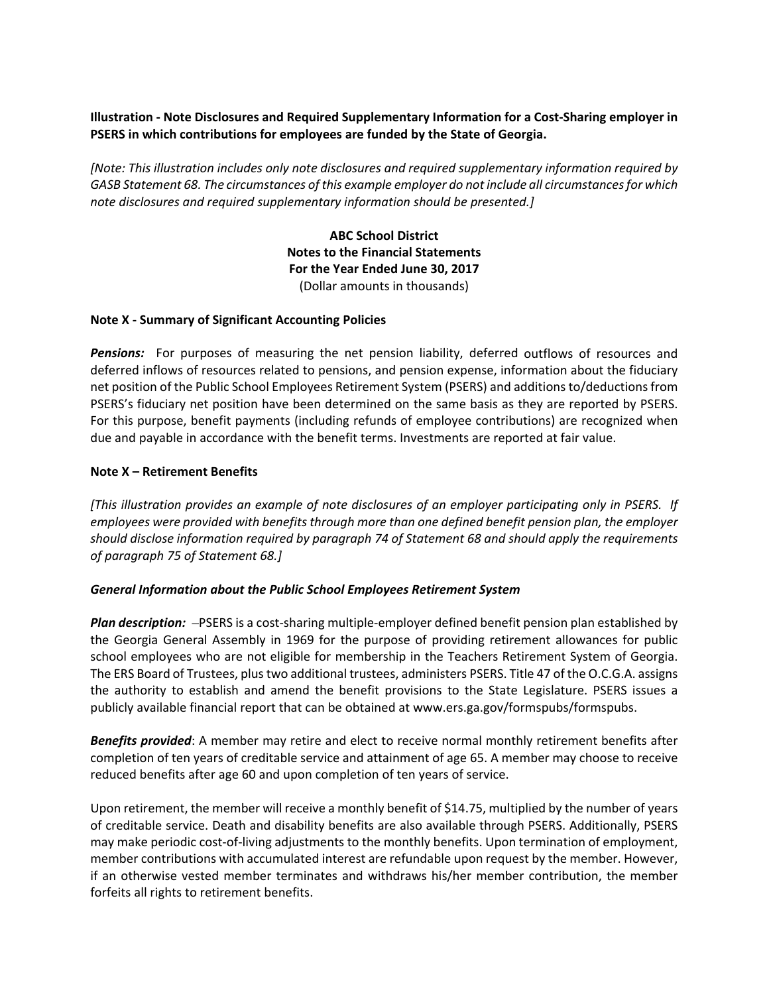## **Illustration ‐ Note Disclosures and Required Supplementary Information for a Cost‐Sharing employer in PSERS in which contributions for employees are funded by the State of Georgia.**

*[Note: This illustration includes only note disclosures and required supplementary information required by GASB Statement 68. The circumstances of this example employer do not include all circumstancesfor which note disclosures and required supplementary information should be presented.]*

> **ABC School District Notes to the Financial Statements For the Year Ended June 30, 2017** (Dollar amounts in thousands)

### **Note X ‐ Summary of Significant Accounting Policies**

**Pensions:** For purposes of measuring the net pension liability, deferred outflows of resources and deferred inflows of resources related to pensions, and pension expense, information about the fiduciary net position of the Public School Employees Retirement System (PSERS) and additions to/deductions from PSERS's fiduciary net position have been determined on the same basis as they are reported by PSERS. For this purpose, benefit payments (including refunds of employee contributions) are recognized when due and payable in accordance with the benefit terms. Investments are reported at fair value.

## **Note X – Retirement Benefits**

[This illustration provides an example of note disclosures of an employer participating only in PSERS. If *employees were provided with benefits through more than one defined benefit pension plan, the employer should disclose information required by paragraph 74 of Statement 68 and should apply the requirements of paragraph 75 of Statement 68.]*

#### *General Information about the Public School Employees Retirement System*

*Plan description:* –PSERS is a cost‐sharing multiple‐employer defined benefit pension plan established by the Georgia General Assembly in 1969 for the purpose of providing retirement allowances for public school employees who are not eligible for membership in the Teachers Retirement System of Georgia. The ERS Board of Trustees, plustwo additional trustees, administers PSERS. Title 47 of the O.C.G.A. assigns the authority to establish and amend the benefit provisions to the State Legislature. PSERS issues a publicly available financial report that can be obtained at www.ers.ga.gov/formspubs/formspubs.

*Benefits provided*: A member may retire and elect to receive normal monthly retirement benefits after completion of ten years of creditable service and attainment of age 65. A member may choose to receive reduced benefits after age 60 and upon completion of ten years of service.

Upon retirement, the member will receive a monthly benefit of \$14.75, multiplied by the number of years of creditable service. Death and disability benefits are also available through PSERS. Additionally, PSERS may make periodic cost-of-living adjustments to the monthly benefits. Upon termination of employment, member contributions with accumulated interest are refundable upon request by the member. However, if an otherwise vested member terminates and withdraws his/her member contribution, the member forfeits all rights to retirement benefits.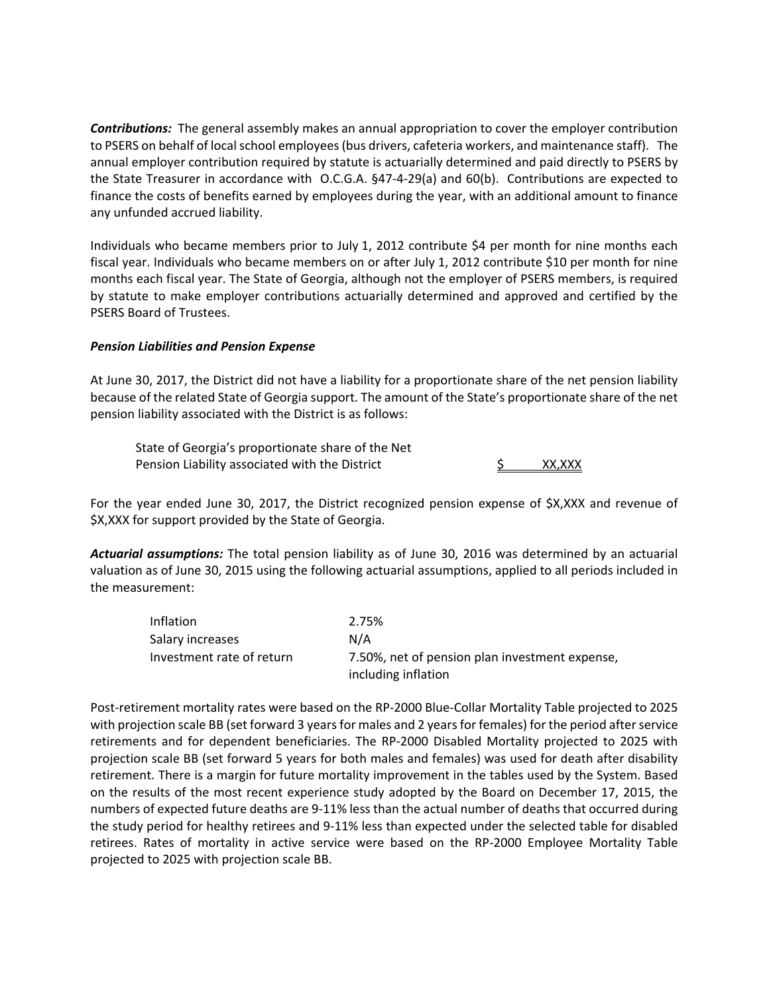**Contributions:** The general assembly makes an annual appropriation to cover the employer contribution to PSERS on behalf of local school employees (bus drivers, cafeteria workers, and maintenance staff). The annual employer contribution required by statute is actuarially determined and paid directly to PSERS by the State Treasurer in accordance with O.C.G.A. §47‐4‐29(a) and 60(b). Contributions are expected to finance the costs of benefits earned by employees during the year, with an additional amount to finance any unfunded accrued liability.

Individuals who became members prior to July 1, 2012 contribute \$4 per month for nine months each fiscal year. Individuals who became members on or after July 1, 2012 contribute \$10 per month for nine months each fiscal year. The State of Georgia, although not the employer of PSERS members, is required by statute to make employer contributions actuarially determined and approved and certified by the PSERS Board of Trustees.

## *Pension Liabilities and Pension Expense*

At June 30, 2017, the District did not have a liability for a proportionate share of the net pension liability because of the related State of Georgia support. The amount of the State's proportionate share of the net pension liability associated with the District is as follows:

State of Georgia's proportionate share of the Net Pension Liability associated with the District  $\sim$  S  $_{\rm X, XXX}$ 

For the year ended June 30, 2017, the District recognized pension expense of \$X,XXX and revenue of \$X,XXX for support provided by the State of Georgia.

*Actuarial assumptions:* The total pension liability as of June 30, 2016 was determined by an actuarial valuation as of June 30, 2015 using the following actuarial assumptions, applied to all periods included in the measurement:

| Inflation                 | 2.75%                                                                 |
|---------------------------|-----------------------------------------------------------------------|
| Salary increases          | N/A                                                                   |
| Investment rate of return | 7.50%, net of pension plan investment expense,<br>including inflation |

Post‐retirement mortality rates were based on the RP‐2000 Blue‐Collar Mortality Table projected to 2025 with projection scale BB (set forward 3 years for males and 2 years for females) for the period after service retirements and for dependent beneficiaries. The RP‐2000 Disabled Mortality projected to 2025 with projection scale BB (set forward 5 years for both males and females) was used for death after disability retirement. There is a margin for future mortality improvement in the tables used by the System. Based on the results of the most recent experience study adopted by the Board on December 17, 2015, the numbers of expected future deaths are 9‐11% less than the actual number of deaths that occurred during the study period for healthy retirees and 9‐11% less than expected under the selected table for disabled retirees. Rates of mortality in active service were based on the RP‐2000 Employee Mortality Table projected to 2025 with projection scale BB.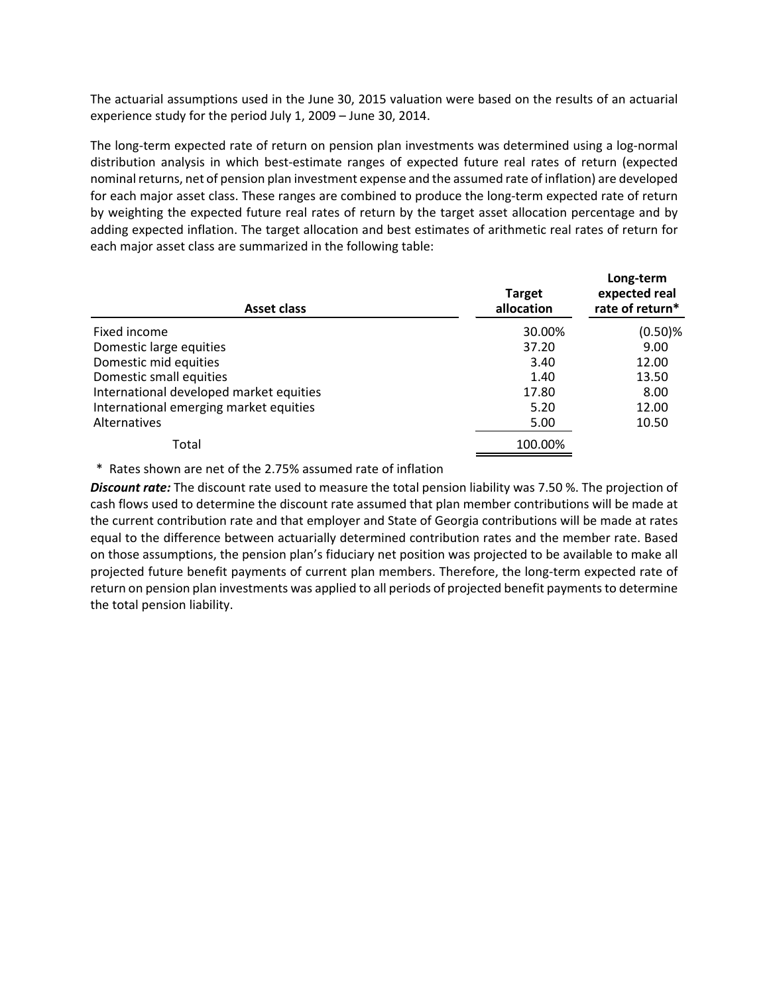The actuarial assumptions used in the June 30, 2015 valuation were based on the results of an actuarial experience study for the period July 1, 2009 – June 30, 2014.

The long‐term expected rate of return on pension plan investments was determined using a log‐normal distribution analysis in which best‐estimate ranges of expected future real rates of return (expected nominal returns, net of pension plan investment expense and the assumed rate of inflation) are developed for each major asset class. These ranges are combined to produce the long-term expected rate of return by weighting the expected future real rates of return by the target asset allocation percentage and by adding expected inflation. The target allocation and best estimates of arithmetic real rates of return for each major asset class are summarized in the following table:

| Asset class                             | <b>Target</b><br>allocation | Long-term<br>expected real<br>rate of return* |
|-----------------------------------------|-----------------------------|-----------------------------------------------|
| Fixed income                            | 30.00%                      | $(0.50)$ %                                    |
| Domestic large equities                 | 37.20                       | 9.00                                          |
| Domestic mid equities                   | 3.40                        | 12.00                                         |
| Domestic small equities                 | 1.40                        | 13.50                                         |
| International developed market equities | 17.80                       | 8.00                                          |
| International emerging market equities  | 5.20                        | 12.00                                         |
| Alternatives                            | 5.00                        | 10.50                                         |
| Total                                   | 100.00%                     |                                               |

\* Rates shown are net of the 2.75% assumed rate of inflation

*Discount rate:* The discount rate used to measure the total pension liability was 7.50 %. The projection of cash flows used to determine the discount rate assumed that plan member contributions will be made at the current contribution rate and that employer and State of Georgia contributions will be made at rates equal to the difference between actuarially determined contribution rates and the member rate. Based on those assumptions, the pension plan's fiduciary net position was projected to be available to make all projected future benefit payments of current plan members. Therefore, the long-term expected rate of return on pension plan investments was applied to all periods of projected benefit payments to determine the total pension liability.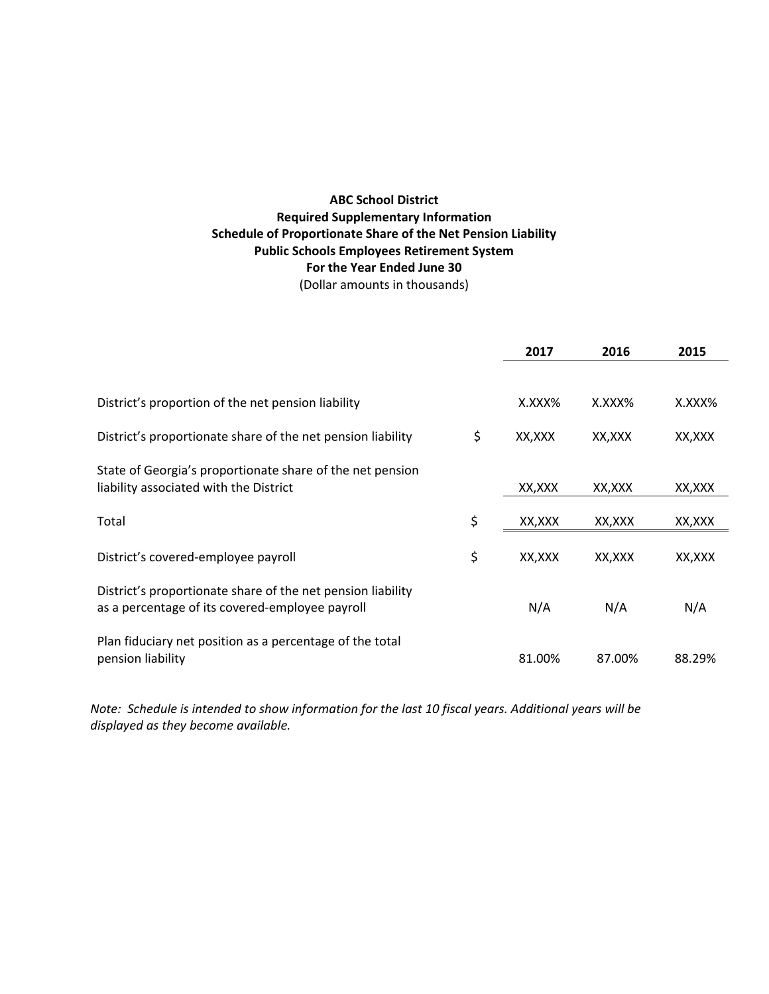# **ABC School District Required Supplementary Information Schedule of Proportionate Share of the Net Pension Liability Public Schools Employees Retirement System For the Year Ended June 30** (Dollar amounts in thousands)

|                                                                                                                | 2017          | 2016    | 2015    |
|----------------------------------------------------------------------------------------------------------------|---------------|---------|---------|
|                                                                                                                |               |         |         |
| District's proportion of the net pension liability                                                             | X.XXX%        | X.XXX%  | X.XXX%  |
| District's proportionate share of the net pension liability                                                    | \$<br>XX, XXX | XX,XXX  | XX,XXX  |
| State of Georgia's proportionate share of the net pension                                                      |               |         |         |
| liability associated with the District                                                                         | XX, XXX       | XX, XXX | XX, XXX |
| Total                                                                                                          | \$<br>XX,XXX  | XX,XXX  | XX,XXX  |
| District's covered-employee payroll                                                                            | \$<br>XX,XXX  | XX, XXX | XX, XXX |
| District's proportionate share of the net pension liability<br>as a percentage of its covered-employee payroll | N/A           | N/A     | N/A     |
| Plan fiduciary net position as a percentage of the total<br>pension liability                                  | 81.00%        | 87.00%  | 88.29%  |

Note: Schedule is intended to show information for the last 10 fiscal years. Additional years will be *displayed as they become available.*